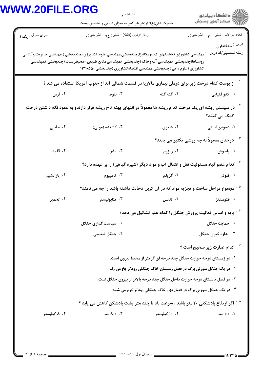## **WWW.20FILE.ORG**

فحه ۱ از ۴

|                                                                          | كارشناسي<br>حضرت علی(ع): ارزش هر کس به میزان دانایی و تخصص اوست                                                                                                                                                                                                          |                                                                           | ≦ دانشڪاه پيام نور<br>√ مرڪز آزمون وسنڊش                 |  |
|--------------------------------------------------------------------------|--------------------------------------------------------------------------------------------------------------------------------------------------------------------------------------------------------------------------------------------------------------------------|---------------------------------------------------------------------------|----------------------------------------------------------|--|
| سري سوال : يک ۱                                                          | زمان أزمون (دقيقه) : تستى : ۴۵ $\alpha$ تشريحي : .                                                                                                                                                                                                                       |                                                                           | تعداد سوالات : تستبي : ٩. تشريحي : .                     |  |
|                                                                          | ٔ مهندسی کشاورزی (ماشینهای ک ×ومکانیزا)چندبخشی،مهندسی علوم کشاورزی (چندبخشی )،مهندسی مدیریت وآبادانی<br>روستاها(چندبخشی )،مهندسی آب وخاک (چندبخشی )،مهندسی منابع طبیعی -محیطزیست (چندبخشی )،مهندسی<br>کشاورزی (علوم دامی )چندبخشی،مهندسی اقتصادکشاورزی (چندبخشی )۱۱۲۱۰۵۵ |                                                                           | درس : جنگلداری<br>رشته تحصيلي/كد درس                     |  |
|                                                                          | <sup>1</sup> <sup>-</sup> از پوست کدام درخت زیر برای درمان بیماری مالاریا در قسمت شمالی آند از جنوب آمریکا استفاده می شد ؟                                                                                                                                               |                                                                           |                                                          |  |
| ۰۴ ارس                                                                   | ۰۳ بلوط                                                                                                                                                                                                                                                                  | ۲. گنه گنه                                                                | ۰۱ کدو قلیایی                                            |  |
|                                                                          | <sup>-</sup> در سیستم ریشه ای یک درخت کدام ریشه ها معمولاً در انتهای پهنه تاج ریشه قرار دارندو به عمود نگه داشتن درخت                                                                                                                                                    |                                                                           | کمک می کنند؟                                             |  |
| ۰۴ جانبی                                                                 | ۰۳ کشنده (مویی)                                                                                                                                                                                                                                                          | ۰۲ فیبری                                                                  | ۱. عمودی اصلی                                            |  |
|                                                                          |                                                                                                                                                                                                                                                                          |                                                                           | <sup>۳ -</sup> درختان معمولاً به چه روشی تکثیر می یابند؟ |  |
| ۰۴ قلمه                                                                  | ۰۳ بذر                                                                                                                                                                                                                                                                   | ۰۲ ریزوم                                                                  | ۰۱ پاجوش                                                 |  |
|                                                                          | <sup>۲ -</sup> کدام عضو گیاه مسئولیت نقل و انتقال آب و مواد دیگر (شیره گیاهی) را بر عهده دارد؟                                                                                                                                                                           |                                                                           |                                                          |  |
| ۰۴ پارانشیم                                                              | ۰۳ کامبیوم                                                                                                                                                                                                                                                               | ۰۲ گزیلم                                                                  | ۱. فلوئم                                                 |  |
|                                                                          | <sup>0</sup> - مجموع مراحل ساخت و تجزیه مواد که در آن کربن دخالت داشته باشد را چه می نامند؟                                                                                                                                                                              |                                                                           |                                                          |  |
| ۰۴ تخمیر                                                                 | ۰۳ متابولیسم                                                                                                                                                                                                                                                             | ۰۲ تنفس                                                                   | ۰۱ فتوسنتز                                               |  |
|                                                                          |                                                                                                                                                                                                                                                                          | <b>15 - پایه و اساس فعالیت پرورش جنگل را کدام علم تشکیل می دهد</b> ؟      |                                                          |  |
|                                                                          | ۰۲ سیاست گذاری جنگل                                                                                                                                                                                                                                                      |                                                                           | ١. حمايت جنگل                                            |  |
|                                                                          | ۰۴ جنگل شناسی                                                                                                                                                                                                                                                            |                                                                           | ۰۳ اندازه گیری جنگل                                      |  |
|                                                                          |                                                                                                                                                                                                                                                                          |                                                                           | <sup>۷ -</sup> کدام عبارت زیر صحیح است ؟                 |  |
|                                                                          |                                                                                                                                                                                                                                                                          | ۱. در زمستان درجه حرارت جنگل چند درجه ای گرمتر از محیط بیرون است.         |                                                          |  |
| <b>۲ . در یک جنگل سوزنی برگ در فصل زمستان خاک جنگلی زودتر یخ می زند.</b> |                                                                                                                                                                                                                                                                          |                                                                           |                                                          |  |
|                                                                          |                                                                                                                                                                                                                                                                          | ۰۳ در فصل تابستان درجه حرارت داخل جنگل چند درجه بالاتر از بیرون جنگل است. |                                                          |  |
|                                                                          |                                                                                                                                                                                                                                                                          | ۰۴ در یک جنگل سوزنی برگ در فصل بهار خاک جنگلی زودتر گرم می شود            |                                                          |  |
|                                                                          | $^{\wedge}$ - اگر ارتفاع بادشکنی ۲۰ متر باشد ، سرعت باد تا چند متر پشت بادشکن کاهش می یابد $^{\wedge}$                                                                                                                                                                   |                                                                           |                                                          |  |
| ۰۴ کیلومتر                                                               | ۰۰، ۸۰۰ متر                                                                                                                                                                                                                                                              | ۰. ۱۰ کیلومتر                                                             | ۰. ۱۰۰ متر                                               |  |
|                                                                          |                                                                                                                                                                                                                                                                          |                                                                           |                                                          |  |
|                                                                          |                                                                                                                                                                                                                                                                          |                                                                           |                                                          |  |

11/1714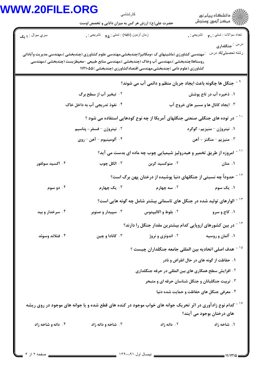## **WWW**

| <b>W.20FILE.ORG</b>    | كارشناسي                                                                                                                                                           |                                                      |                                                                                            |
|------------------------|--------------------------------------------------------------------------------------------------------------------------------------------------------------------|------------------------------------------------------|--------------------------------------------------------------------------------------------|
|                        | حضرت علی(ع): ارزش هر کس به میزان دانایی و تخصص اوست                                                                                                                |                                                      | ر دانشگاه پيام نور<br>د مرکز آزمون وسنجش                                                   |
| سري سوال : <b>۱ يک</b> | زمان أزمون (دقيقه) : تستي : ۴۵ — تشريحي : .                                                                                                                        |                                                      | نعداد سوالات : تستي : پم       تشريحي : .                                                  |
|                        | <sup>:</sup> مهندسی کشاورزی (ماشینهای ک ×ومکانیزا)چندبخشی،مهندسی علوم کشاورزی (چندبخشی )،مهندسی مدیریت وآبادانی                                                    |                                                      | <sup>در س :</sup> جنگلداری<br>رشته تحصيل <i>ي </i> كد درس                                  |
|                        | روستاها(چندبخشی )،مهندسی آب وخاک (چندبخشی )،مهندسی منابع طبیعی –محیطزیست (چندبخشی )،مهندسی<br>کشاورزی (علوم دامی )چندبخشی،مهندسی اقتصادکشاورزی (چندبخشی )۱۱۲۱۰۵۵ ( |                                                      |                                                                                            |
|                        |                                                                                                                                                                    |                                                      | <sup>۹ -</sup> جنگل ها چگونه باعث ایجاد جریان منظم و دائمی آب می شوند؟                     |
|                        | ۰۲ تبخیر آب از سطح برگ                                                                                                                                             |                                                      | ۱. ذخیره آب در تاج پوشش                                                                    |
|                        | ۰۴ نفوذ تدریجی آب به داخل خاک                                                                                                                                      |                                                      | ۰۳ ایجاد کانال ها و مسیر های خروج آب                                                       |
|                        |                                                                                                                                                                    |                                                      | ` <sup>۱</sup> ~ در توده های جنگلی صنعتی جنگلهای آمریکا از چه نوع کودهایی استفاده می شود ؟ |
|                        | ۰۲ نیتروژن –فسفر - پتاسیم                                                                                                                                          |                                                      | ۰۱ نیتروژن – منیزیم- گوگرد                                                                 |
|                        | ۰۴ آلومينيوم – آهن – روى                                                                                                                                           |                                                      | ۰۳ منيزيم – منگنز - آهن                                                                    |
|                        |                                                                                                                                                                    |                                                      | <sup>۱۱ -</sup> امروزه از طریق تخمیر و هیدرولیز شیمیایی چوب چه ماده ای بدست می آید؟        |
| ۰۴ اکسید سولفور        | ۰۳ الکل چوب                                                                                                                                                        | ۰۲ منوکسید کربن                                      | ۰۱ متان                                                                                    |
|                        |                                                                                                                                                                    |                                                      | <sup>۱۲ -</sup> حدوداً چه نسبتی از جنگلهای دنیا پوشیده از درختان پهن برگ است؟              |
| ۰۴ دو سوم              | ۰۳ یک چهارم                                                                                                                                                        | ۰۲ سه چهارم                                          | ۰۱ یک سوم                                                                                  |
|                        |                                                                                                                                                                    |                                                      | <sup>۱۳ -</sup> الوارهای تولید شده در جنگل های تاسمانی بیشتر شامل چه گونه هایی است؟        |
| ۰۴ سرخدار و بید        | ۰۳ سپیدار و صنوبر                                                                                                                                                  | ۰۲ بلوط و اکالیپتوس                                  | ۰۱ کاج و سرو                                                                               |
|                        |                                                                                                                                                                    |                                                      | <sup>۱۴ -</sup> در بین کشورهای اروپایی کدام بیشترین مقدار جنگل را دارند؟                   |
| ۰۴ فنلاند وسوئد        | ۰۳ کانادا و چين                                                                                                                                                    | ۰۲ اندونزی و نروژ                                    | ۰۱ آلمان و روسیه                                                                           |
|                        |                                                                                                                                                                    |                                                      | <sup>۱۵ -</sup> هدف اصلی اتحادیه بین المللی جامعه جنگلداران چیست ؟                         |
|                        |                                                                                                                                                                    |                                                      | ۱. حفاظت از گونه های در حال انقراض و نادر                                                  |
|                        |                                                                                                                                                                    | ۰۲ افزایش سطح همکاری های بین المللی در حرفه جنگلداری |                                                                                            |
|                        |                                                                                                                                                                    |                                                      | ۰۳ تربیت جنگلبانان و جنگل شناسان حرفه ای و متبحر                                           |
|                        |                                                                                                                                                                    |                                                      | ۰۴ معرفی جنگل های حفاظت و حمایت شده دنیا                                                   |
|                        | <sup>۱۶ -</sup> کدام نوع زادآوری در اثر تحریک جوانه های خواب موجود در کنده های قطع شده و یا جوانه های موجود در روی ریشه                                            |                                                      | های درختان بوجود می آیند؟                                                                  |
| ۰۴ دانه و شاخه زاد     | ۰۳ شاخه و دانه زاد                                                                                                                                                 | ۰۲ دانه زاد                                          | ۱. شاخه زاد                                                                                |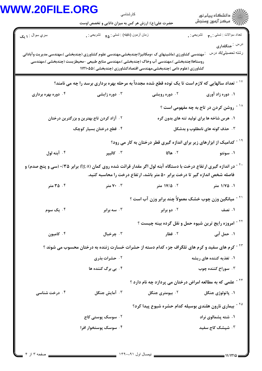## **WW**

| <b>N.20FILE.ORG</b>    | كارشناسي<br>حضرت علی(ع): ارزش هر کس به میزان دانایی و تخصص اوست                                                                                                                                                                                                               |                                                                                   | ڪ دانشڪاه پيام نور<br>∥∕ مرڪز آزمون وسنڊش           |
|------------------------|-------------------------------------------------------------------------------------------------------------------------------------------------------------------------------------------------------------------------------------------------------------------------------|-----------------------------------------------------------------------------------|-----------------------------------------------------|
| سري سوال : <b>۱ يک</b> | زمان أزمون (دقيقه) : تستى : ۴۵ - تشريحي : .                                                                                                                                                                                                                                   |                                                                                   | تعداد سوالات : تستي : ٣ <b>. س</b> تشريحي : .       |
|                        | .<br>· مهندسی کشاورزی (ماشینهای ک ×ومکانیزا)چندبخشی،مهندسی علوم کشاورزی (چندبخشی )،مهندسی مدیریت وآبادانی<br>روستاها(چندبخشی )،مهندسی آب وخاک (چندبخشی )،مهندسی منابع طبیعی –محیطزیست (چندبخشی )،مهندسی<br>کشاورزی (علوم دامی )چندبخشی،مهندسی اقتصادکشاورزی (چندبخشی )۱۱۲۱۰۵۵ |                                                                                   | درس : <mark>جنگلداری</mark><br>رشته تحصيلي/كد درس   |
|                        | <sup>۱۷ -</sup> تعداد سالهایی که لازم است تا یک توده قطع شده مجدداً به مرحله بهره برداری برسد را چه می نامند؟                                                                                                                                                                 |                                                                                   |                                                     |
| ۰۴ دوره بهره برداری    | ۰۳ دوره زایشی                                                                                                                                                                                                                                                                 | ۰۲ دوره رویشی                                                                     | ۰۱ دوره زاد آوری                                    |
|                        |                                                                                                                                                                                                                                                                               |                                                                                   | <sup>۱۸ -</sup> روشن کردن در تاج به چه مفهومی است ؟ |
|                        | ۰۲ آزاد کردن تاج بهترین و بزرگترین درختان                                                                                                                                                                                                                                     |                                                                                   | ۱. هرس شاخه ها برای تولید تنه های بدون گره          |
|                        | ۰۴ قطع درختان بسیار کوچک                                                                                                                                                                                                                                                      | ۰۳ حذف گونه های نامطلوب و بدشکل                                                   |                                                     |
|                        |                                                                                                                                                                                                                                                                               | <sup>۱۹ -</sup> کدامیک از ابزارهای زیر برای اندازه گیری قطر درختان به کار می رود؟ |                                                     |
| ۰۴ آبنه لول            | ۰۳ کالیپر                                                                                                                                                                                                                                                                     | ۲. هاگا                                                                           | ۰۱ سونتو                                            |
|                        | <sup>۲۰ -</sup> در اندازه گیری ارتفاع درخت با دستگاه آبنه لول اگر مقدار قرائت شده روی کمان (tg a) برابر ۰/۳۵ (سی و پنج صدم) و                                                                                                                                                 | فاصله شخص اندازه گیر تا درخت برابر ۵۰ متر باشد، ارتفاع درخت را محاسبه کنید.       |                                                     |
| ۰۴ متر                 | ۰۳ متر                                                                                                                                                                                                                                                                        | ۰۲ ۱۷/۵ متر                                                                       | ۰۱ ۱/۷۵ متر                                         |
|                        |                                                                                                                                                                                                                                                                               | <sup>۲۱ -</sup> میانگین وزن چوب خشک معمولاً چند برابر وزن آب است ؟                |                                                     |
| ۰۴ یک سوم              | ۰۳ سه برابر                                                                                                                                                                                                                                                                   | ۰۲ دو برابر                                                                       | ۰۱ نصف                                              |
|                        |                                                                                                                                                                                                                                                                               | <sup>۲۲ -</sup> امروزه رایج ترین شیوه حمل و نقل گرده بینه چیست ؟                  |                                                     |
| ۰۴ کامیون              | ۰۳ چرخبال                                                                                                                                                                                                                                                                     | ۰۲ قطار                                                                           | ۰۱ حمل آب <i>ی</i>                                  |
|                        | <sup>۲۳ -</sup> کرم های سفید و کرم های تلگراف جزء کدام دسته از حشرات خسارت زننده به درختان محسوب می شوند ؟                                                                                                                                                                    |                                                                                   |                                                     |
|                        | <b>1. حشرات بذري</b>                                                                                                                                                                                                                                                          |                                                                                   | ۱. تغذیه کننده های ریشه                             |
|                        | ۰۴ بي برگ کننده ها                                                                                                                                                                                                                                                            |                                                                                   | ۰۳ سوراخ کننده چوب                                  |
|                        |                                                                                                                                                                                                                                                                               | <sup>۲۴ -</sup> علمی که به مطالعه امراض درختان می پردازد چه نام دارد ؟            |                                                     |
| ۰۴ درخت شناسی          | ۰۳ آمایش جنگل                                                                                                                                                                                                                                                                 | ۰ <sup>۲</sup> بیومتری جنگل                                                       | ۱. پاتولوژي جنگل                                    |
|                        |                                                                                                                                                                                                                                                                               | <sup>۲۵ -</sup> بیماری نارون هلندی بوسیله کدام حشره شیوع پیدا کرد؟                |                                                     |
|                        | ۰۲ سوسک پوستی کاج                                                                                                                                                                                                                                                             |                                                                                   | ۰۱ شته پشمالوی نراد                                 |
|                        | ۰۴ سوسک پوستخوار افرا                                                                                                                                                                                                                                                         |                                                                                   | ۰۳ شپشک کاج سفید                                    |
|                        |                                                                                                                                                                                                                                                                               |                                                                                   |                                                     |